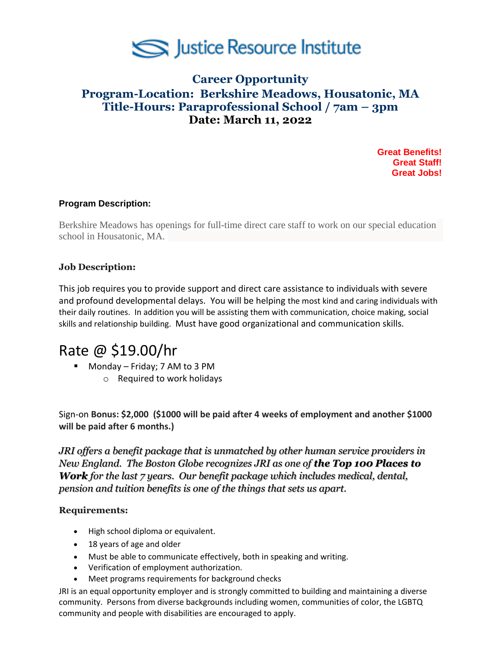

# **Career Opportunity Program-Location: Berkshire Meadows, Housatonic, MA Title-Hours: Paraprofessional School / 7am – 3pm Date: March 11, 2022**

**Great Benefits! Great Staff! Great Jobs!**

## **Program Description:**

Berkshire Meadows has openings for full-time direct care staff to work on our special education school in Housatonic, MA.

#### **Job Description:**

This job requires you to provide support and direct care assistance to individuals with severe and profound developmental delays. You will be helping the most kind and caring individuals with their daily routines. In addition you will be assisting them with communication, choice making, social skills and relationship building. Must have good organizational and communication skills.

# Rate @ \$19.00/hr

- Monday Friday; 7 AM to 3 PM
	- o Required to work holidays

Sign-on **Bonus: \$2,000 (\$1000 will be paid after 4 weeks of employment and another \$1000 will be paid after 6 months.)**

*JRI offers a benefit package that is unmatched by other human service providers in New England. The Boston Globe recognizes JRI as one of the Top 100 Places to Work for the last 7 years. Our benefit package which includes medical, dental, pension and tuition benefits is one of the things that sets us apart.*

## **Requirements:**

- High school diploma or equivalent.
- 18 years of age and older
- Must be able to communicate effectively, both in speaking and writing.
- Verification of employment authorization.
- Meet programs requirements for background checks

JRI is an equal opportunity employer and is strongly committed to building and maintaining a diverse community. Persons from diverse backgrounds including women, communities of color, the LGBTQ community and people with disabilities are encouraged to apply.